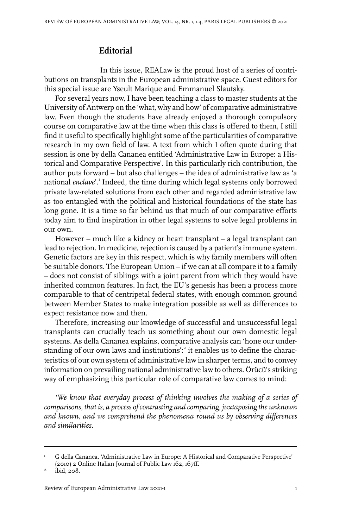## **Editorial**

In this issue, REALaw is the proud host of a series of contributions on transplants in the European administrative space. Guest editors for this special issue are Yseult Marique and Emmanuel Slautsky.

For several years now, I have been teaching a class to master students at the University of Antwerp on the 'what, why and how' of comparative administrative law. Even though the students have already enjoyed a thorough compulsory course on comparative law at the time when this class is offered to them, I still find it useful to specifically highlight some of the particularities of comparative research in my own field of law. A text from which I often quote during that session is one by della Cananea entitled 'Administrative Law in Europe: a Historical and Comparative Perspective'. In this particularly rich contribution, the author puts forward – but also challenges – the idea of administrative law as 'a national enclave'.<sup>1</sup> Indeed, the time during which legal systems only borrowed private law-related solutions from each other and regarded administrative law as too entangled with the political and historical foundations of the state has long gone. It is a time so far behind us that much of our comparative efforts today aim to find inspiration in other legal systems to solve legal problems in our own.

However – much like a kidney or heart transplant – a legal transplant can lead to rejection. In medicine, rejection is caused by a patient's immune system. Genetic factors are key in this respect, which is why family members will often be suitable donors. The European Union – if we can at all compare it to a family – does not consist of siblings with a joint parent from which they would have inherited common features. In fact, the EU's genesis has been a process more comparable to that of centripetal federal states, with enough common ground between Member States to make integration possible as well as differences to expect resistance now and then.

Therefore, increasing our knowledge of successful and unsuccessful legal transplants can crucially teach us something about our own domestic legal systems. As della Cananea explains, comparative analysis can 'hone our understanding of our own laws and institutions':<sup>2</sup> it enables us to define the characteristics of our own system of administrative law in sharper terms, and to convey information on prevailing national administrative law to others. Örücü's striking way of emphasizing this particular role of comparative law comes to mind:

*'We know that everyday process of thinking involves the making of a series of comparisons, that is, a process ofcontrasting and comparing, juxtaposing the unknown and known, and we comprehend the phenomena round us by observing differences and similarities.*

G della Cananea, 'Administrative Law in Europe: A Historical and Comparative Perspective' (2010) 2 Online Italian Journal of Public Law 162, 167ff. 1

 $ibid, 208.$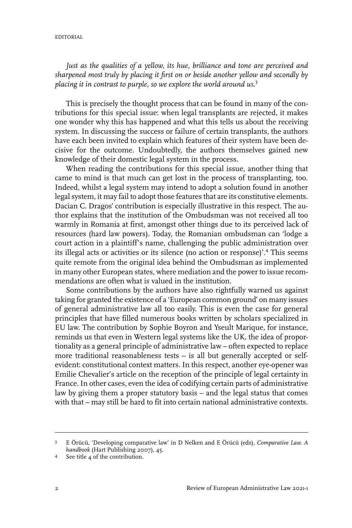*Just as the qualities of a yellow, its hue, brilliance and tone are perceived and sharpened most truly by placing it first on or beside another yellow and secondly by placing it in contrast to purple, so we explore the world around us.*<sup>3</sup>

This is precisely the thought process that can be found in many of the contributions for this special issue: when legal transplants are rejected, it makes one wonder why this has happened and what this tells us about the receiving system. In discussing the success or failure of certain transplants, the authors have each been invited to explain which features of their system have been decisive for the outcome. Undoubtedly, the authors themselves gained new knowledge of their domestic legal system in the process.

When reading the contributions for this special issue, another thing that came to mind is that much can get lost in the process of transplanting, too. Indeed, whilst a legal system may intend to adopt a solution found in another legal system, it may fail to adopt those features that are its constitutive elements. Dacian C. Dragos' contribution is especially illustrative in this respect. The author explains that the institution of the Ombudsman was not received all too warmly in Romania at first, amongst other things due to its perceived lack of resources (hard law powers). Today, the Romanian ombudsman can 'lodge a court action in a plaintiff's name, challenging the public administration over its illegal acts or activities or its silence (no action or response)'.<sup>4</sup> This seems quite remote from the original idea behind the Ombudsman as implemented in many other European states, where mediation and the power to issue recommendations are often what is valued in the institution.

Some contributions by the authors have also rightfully warned us against taking for granted the existence of a 'European common ground' on many issues of general administrative law all too easily. This is even the case for general principles that have filled numerous books written by scholars specialized in EU law. The contribution by Sophie Boyron and Yseult Marique, for instance, reminds us that even in Western legal systems like the UK, the idea of proportionality as a general principle of administrative law – often expected to replace more traditional reasonableness tests – is all but generally accepted or selfevident: constitutional context matters. In this respect, another eye-opener was Emilie Chevalier's article on the reception of the principle of legal certainty in France. In other cases, even the idea of codifying certain parts of administrative law by giving them a proper statutory basis – and the legal status that comes with that – may still be hard to fit into certain national administrative contexts.

E Örücü, 'Developing comparative law' in D Nelken and E Örücü (eds), *Comparative Law. A handbook* (Hart Publishing 2007), 45. 3

See title 4 of the contribution. <sup>4</sup>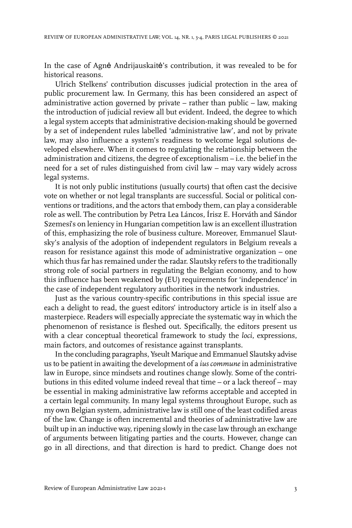In the case of Agnė Andrijauskaitė's contribution, it was revealed to be for historical reasons.

Ulrich Stelkens' contribution discusses judicial protection in the area of public procurement law. In Germany, this has been considered an aspect of administrative action governed by private – rather than public – law, making the introduction of judicial review all but evident. Indeed, the degree to which a legal system accepts that administrative decision-making should be governed by a set of independent rules labelled 'administrative law', and not by private law, may also influence a system's readiness to welcome legal solutions developed elsewhere. When it comes to regulating the relationship between the administration and citizens, the degree of exceptionalism – i.e. the belief in the need for a set of rules distinguished from civil law – may vary widely across legal systems.

It is not only public institutions (usually courts) that often cast the decisive vote on whether or not legal transplants are successful. Social or political conventions or traditions, and the actors that embody them, can play a considerable role as well. The contribution by Petra Lea Láncos, Írisz E. Horváth and Sándor Szemesi's on leniency in Hungarian competition law is an excellent illustration of this, emphasizing the role of business culture. Moreover, Emmanuel Slautsky's analysis of the adoption of independent regulators in Belgium reveals a reason for resistance against this mode of administrative organization – one which thus far has remained under the radar. Slautsky refers to the traditionally strong role of social partners in regulating the Belgian economy, and to how this influence has been weakened by (EU) requirements for 'independence' in the case of independent regulatory authorities in the network industries.

Just as the various country-specific contributions in this special issue are each a delight to read, the guest editors' introductory article is in itself also a masterpiece. Readers will especially appreciate the systematic way in which the phenomenon of resistance is fleshed out. Specifically, the editors present us with a clear conceptual theoretical framework to study the *loci*, expressions, main factors, and outcomes of resistance against transplants.

In the concluding paragraphs, Yseult Marique and Emmanuel Slautsky advise us to be patient in awaiting the development of a *ius commune* in administrative law in Europe, since mindsets and routines change slowly. Some of the contributions in this edited volume indeed reveal that time – or a lack thereof – may be essential in making administrative law reforms acceptable and accepted in a certain legal community. In many legal systems throughout Europe, such as my own Belgian system, administrative law is still one of the least codified areas of the law. Change is often incremental and theories of administrative law are built up in an inductive way, ripening slowly in the case law through an exchange of arguments between litigating parties and the courts. However, change can go in all directions, and that direction is hard to predict. Change does not